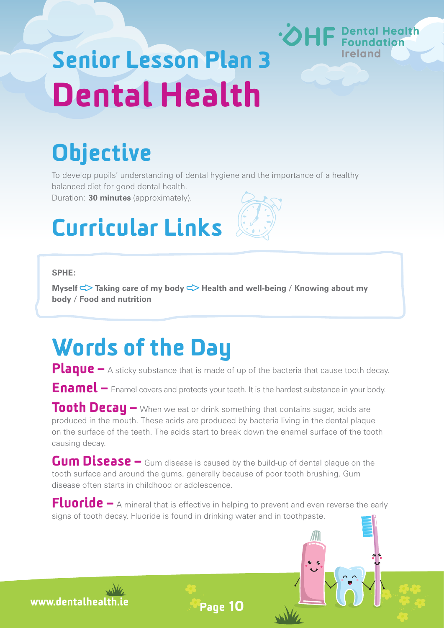# Senior Lesson Plan 3 Dental Health

## **Objective**

To develop pupils' understanding of dental hygiene and the importance of a healthy balanced diet for good dental health.

**Dental Health** 

**Ireland** 

Duration: **30 minutes** (approximately).

## Curricular Links

#### **SPHE:**

**Myself <> Taking care of my body <> Health and well-being / Knowing about my body / Food and nutrition**

### Words of the Day

Plaque – A sticky substance that is made of up of the bacteria that cause tooth decay.

Enamel – Enamel covers and protects your teeth. It is the hardest substance in your body.

Tooth Decay – When we eat or drink something that contains sugar, acids are produced in the mouth. These acids are produced by bacteria living in the dental plaque on the surface of the teeth. The acids start to break down the enamel surface of the tooth causing decay.

Gum Disease – Gum disease is caused by the build-up of dental plaque on the tooth surface and around the gums, generally because of poor tooth brushing. Gum disease often starts in childhood or adolescence.

Fluoride – A mineral that is effective in helping to prevent and even reverse the early signs of tooth decay. Fluoride is found in drinking water and in toothpaste.

Page 10

www.dentalhealth.ie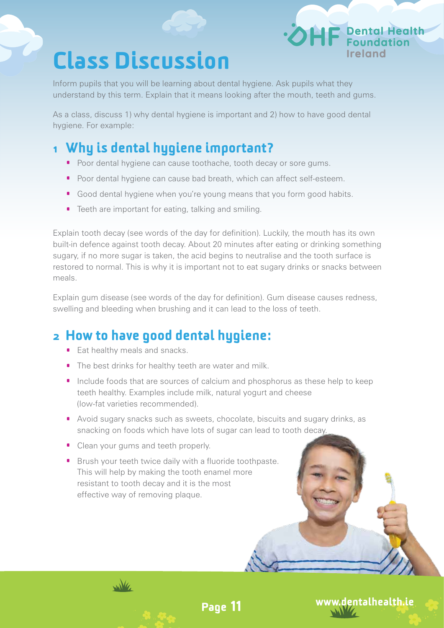### Class Discussion

Inform pupils that you will be learning about dental hygiene. Ask pupils what they understand by this term. Explain that it means looking after the mouth, teeth and gums.

As a class, discuss 1) why dental hygiene is important and 2) how to have good dental hygiene. For example:

#### 1 Why is dental hygiene important?

- Poor dental hygiene can cause toothache, tooth decay or sore gums.
- · Poor dental hygiene can cause bad breath, which can affect self-esteem.
- · Good dental hygiene when you're young means that you form good habits.
- · Teeth are important for eating, talking and smiling.

Explain tooth decay (see words of the day for definition). Luckily, the mouth has its own built-in defence against tooth decay. About 20 minutes after eating or drinking something sugary, if no more sugar is taken, the acid begins to neutralise and the tooth surface is restored to normal. This is why it is important not to eat sugary drinks or snacks between meals.

Explain gum disease (see words of the day for definition). Gum disease causes redness, swelling and bleeding when brushing and it can lead to the loss of teeth.

#### **2** How to have good dental hygiene:

- · Eat healthy meals and snacks.
- · The best drinks for healthy teeth are water and milk.
- · Include foods that are sources of calcium and phosphorus as these help to keep teeth healthy. Examples include milk, natural yogurt and cheese (low-fat varieties recommended).
- · Avoid sugary snacks such as sweets, chocolate, biscuits and sugary drinks, as snacking on foods which have lots of sugar can lead to tooth decay.

Page 11

www.dentalhealth.ie

**P** Dental Health

• Clean your gums and teeth properly.

wike

· Brush your teeth twice daily with a fluoride toothpaste. This will help by making the tooth enamel more resistant to tooth decay and it is the most effective way of removing plaque.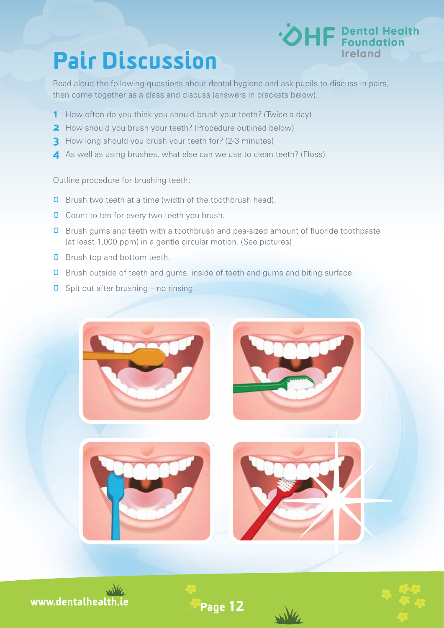### Pair Discussion



Read aloud the following questions about dental hygiene and ask pupils to discuss in pairs, then come together as a class and discuss (answers in brackets below).

- 1 How often do you think you should brush your teeth? (Twice a day)
- **2** How should you brush your teeth? (Procedure outlined below)
- **3** How long should you brush your teeth for? (2-3 minutes)
- **4** As well as using brushes, what else can we use to clean teeth? (Floss)

Outline procedure for brushing teeth:

- **Q** Brush two teeth at a time (width of the toothbrush head).
- **O** Count to ten for every two teeth you brush.
- **O** Brush gums and teeth with a toothbrush and pea-sized amount of fluoride toothpaste (at least 1,000 ppm) in a gentle circular motion. (See pictures)
- **Q** Brush top and bottom teeth.
- **Q** Brush outside of teeth and gums, inside of teeth and gums and biting surface.
- $\Box$  Spit out after brushing no rinsing.